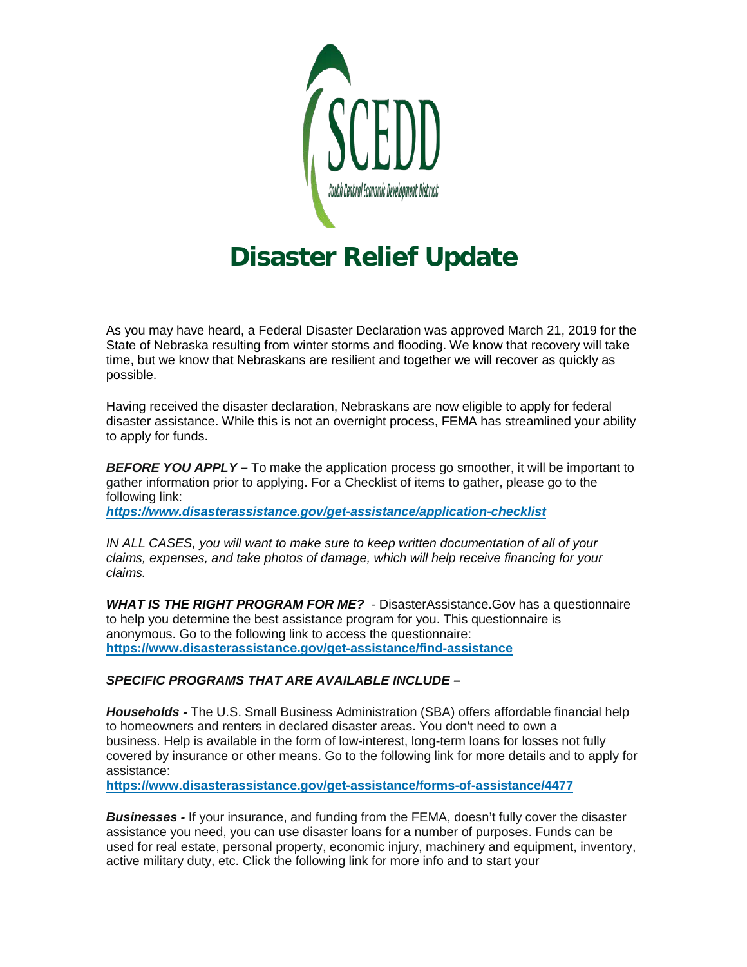

## **Disaster Relief Update**

As you may have heard, a Federal Disaster Declaration was approved March 21, 2019 for the State of Nebraska resulting from winter storms and flooding. We know that recovery will take time, but we know that Nebraskans are resilient and together we will recover as quickly as possible.

Having received the disaster declaration, Nebraskans are now eligible to apply for federal disaster assistance. While this is not an overnight process, FEMA has streamlined your ability to apply for funds.

*BEFORE YOU APPLY –* To make the application process go smoother, it will be important to gather information prior to applying. For a Checklist of items to gather, please go to the following link:

*[https://www.disasterassistance.gov/get-assistance/application-checklist](http://r20.rs6.net/tn.jsp?f=0015arC3qemrzdV0j-rDn8Z1mSewGPKGMS6qIoy1I3LHosAvMJsD188AyEA603J8ZSwtzJpHWgIsPATHEspxI-zUWuXTaMk5drKb69-AjCPbRfjUHnxPTqdGhaaJQ1gJ0tiyuJERbexEK8sDHkcuU8PPk99xULIFBfgB7ViVFHqpZjJXHDw6VHzP5x57ucC_rEO-88XGWoiilS-gFd2rdTVEA==&c=kpzBLDQmGJbRebJWNxGO44kn8RSGfRCBnmUQpVf82O5XsoZJmpIt-g==&ch=9959G9zBUe3Ny7rHNFafnRwa3cozaxU1L9SYlGywvJ5CFtkJS997Lw==)*

*IN ALL CASES, you will want to make sure to keep written documentation of all of your claims, expenses, and take photos of damage, which will help receive financing for your claims.*

*WHAT IS THE RIGHT PROGRAM FOR ME?* - DisasterAssistance.Gov has a questionnaire to help you determine the best assistance program for you. This questionnaire is anonymous. Go to the following link to access the questionnaire: **[https://www.disasterassistance.gov/get-assistance/find-assistance](http://r20.rs6.net/tn.jsp?f=0015arC3qemrzdV0j-rDn8Z1mSewGPKGMS6qIoy1I3LHosAvMJsD188AyEA603J8ZSwuB71HatxHgcac-yPT2k5ouJ3uZa2xcGsZ0cTx3NdCnQXK-Y5osOHOQHOnHIO_gi70XecJnIZlCs1xP60EVJCrQLUPjzt_0CIGrk6ZpeNpP-sjtgn3DYc5uBVbfXJzJRUHgt4KtNhFgM=&c=kpzBLDQmGJbRebJWNxGO44kn8RSGfRCBnmUQpVf82O5XsoZJmpIt-g==&ch=9959G9zBUe3Ny7rHNFafnRwa3cozaxU1L9SYlGywvJ5CFtkJS997Lw==)**

## *SPECIFIC PROGRAMS THAT ARE AVAILABLE INCLUDE –*

*Households -* The U.S. Small Business Administration (SBA) offers affordable financial help to homeowners and renters in declared disaster areas. You don't need to own a business. Help is available in the form of low-interest, long-term loans for losses not fully covered by insurance or other means. Go to the following link for more details and to apply for assistance:

**[https://www.disasterassistance.gov/get-assistance/forms-of-assistance/4477](http://r20.rs6.net/tn.jsp?f=0015arC3qemrzdV0j-rDn8Z1mSewGPKGMS6qIoy1I3LHosAvMJsD188AyEA603J8ZSwk3X3mghm3wZfbDMwZKxN7nuLriQpxePcXqi2cjA1fJAR-vCtXyVglww6ok2G-R9tejq_5q5ICaX4toGvFZZh4SljLydNXjlndHApKci3jMuG5_nIG_-OH5jTGIEeMoNSYIhQfx-_nD6JFPF7wC_img==&c=kpzBLDQmGJbRebJWNxGO44kn8RSGfRCBnmUQpVf82O5XsoZJmpIt-g==&ch=9959G9zBUe3Ny7rHNFafnRwa3cozaxU1L9SYlGywvJ5CFtkJS997Lw==)** 

*Businesses -* If your insurance, and funding from the FEMA, doesn't fully cover the disaster assistance you need, you can use disaster loans for a number of purposes. Funds can be used for real estate, personal property, economic injury, machinery and equipment, inventory, active military duty, etc. Click the following link for more info and to start your